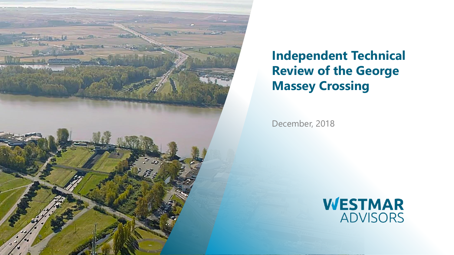

**Independent Technical Review of the George Massey Crossing**

December, 2018

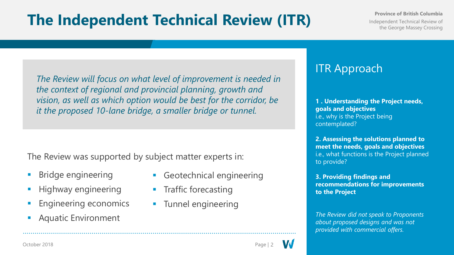## **The Independent Technical Review (ITR)**

**Province of British Columbia**

Independent Technical Review of the George Massey Crossing

*The Review will focus on what level of improvement is needed in the context of regional and provincial planning, growth and vision, as well as which option would be best for the corridor, be it the proposed 10-lane bridge, a smaller bridge or tunnel.*

The Review was supported by subject matter experts in:

- Bridge engineering
- **E** Highway engineering
- **Engineering economics**
- **Aquatic Environment**
- Geotechnical engineering
- **•** Traffic forecasting
- Tunnel engineering

#### ITR Approach

**1 . Understanding the Project needs, goals and objectives** i.e., why is the Project being contemplated?

**2. Assessing the solutions planned to meet the needs, goals and objectives** i.e., what functions is the Project planned to provide?

**3. Providing findings and recommendations for improvements to the Project**

*The Review did not speak to Proponents about proposed designs and was not provided with commercial offers.*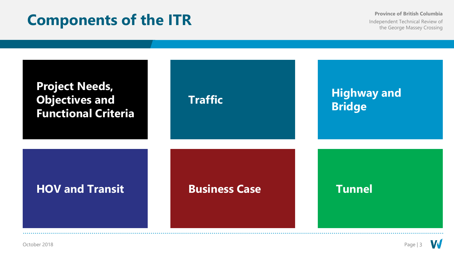#### **Components of the ITR**

**Province of British Columbia**

Independent Technical Review of the George Massey Crossing

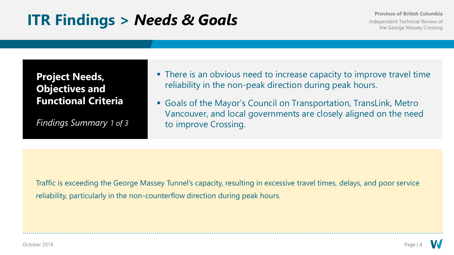**Province of British Columbia** Independent Technical Review of the George Massey Crossing

**Project Needs, Objectives and Functional Criteria**

*Findings Summary 1 of 3*

- **There is an obvious need to increase capacity to improve travel time** reliability in the non-peak direction during peak hours.
- Goals of the Mayor's Council on Transportation, TransLink, Metro Vancouver, and local governments are closely aligned on the need to improve Crossing.

Traffic is exceeding the George Massey Tunnel's capacity, resulting in excessive travel times, delays, and poor service reliability, particularly in the non-counterflow direction during peak hours.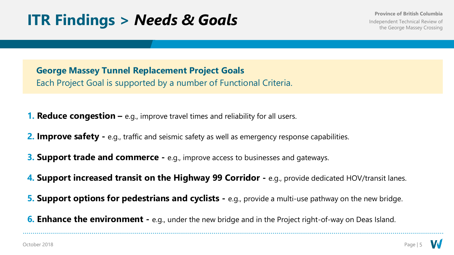**Province of British Columbia**

Independent Technical Review of the George Massey Crossing

**George Massey Tunnel Replacement Project Goals** Each Project Goal is supported by a number of Functional Criteria.

- **1. Reduce congestion –** e.g., improve travel times and reliability for all users.
- **2. Improve safety** e.g., traffic and seismic safety as well as emergency response capabilities.
- **3. Support trade and commerce -** e.g., improve access to businesses and gateways.
- **4. Support increased transit on the Highway 99 Corridor -** e.g., provide dedicated HOV/transit lanes.
- **5. Support options for pedestrians and cyclists -** e.g., provide a multi-use pathway on the new bridge.
- **6. Enhance the environment -** e.g., under the new bridge and in the Project right-of-way on Deas Island.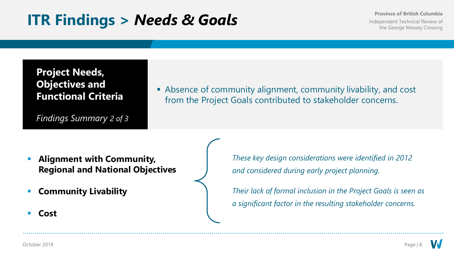**Province of British Columbia** Independent Technical Review of the George Massey Crossing

**Project Needs, Objectives and Functional Criteria**

*Findings Summary 2 of 3*

■ Absence of community alignment, community livability, and cost from the Project Goals contributed to stakeholder concerns.

- **Alignment with Community, Regional and National Objectives**
- **Community Livability**
- **Cost**

*These key design considerations were identified in 2012 and considered during early project planning.*

*Their lack of formal inclusion in the Project Goals is seen as a significant factor in the resulting stakeholder concerns.*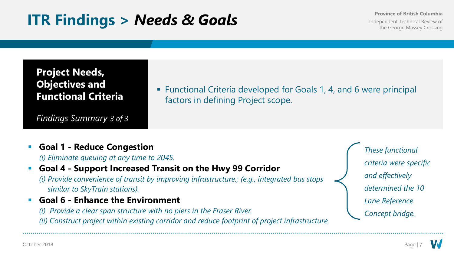**Province of British Columbia** Independent Technical Review of the George Massey Crossing

**Project Needs, Objectives and Functional Criteria**

*Findings Summary 3 of 3*

■ Functional Criteria developed for Goals 1, 4, and 6 were principal factors in defining Project scope.

- **Goal 1 - Reduce Congestion** *(i) Eliminate queuing at any time to 2045.*
- **Goal 4 - Support Increased Transit on the Hwy 99 Corridor** *(i) Provide convenience of transit by improving infrastructure.; (e.g., integrated bus stops similar to SkyTrain stations).*
- **Goal 6 - Enhance the Environment**
	- *(i) Provide a clear span structure with no piers in the Fraser River.*
	- *(ii) Construct project within existing corridor and reduce footprint of project infrastructure.*

*These functional criteria were specific and effectively determined the 10 Lane Reference Concept bridge.*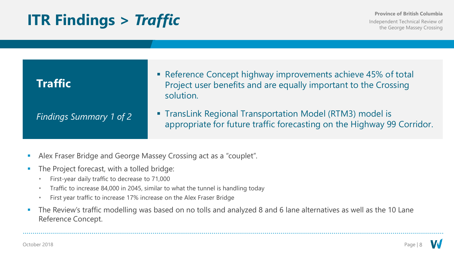# **ITR Findings >** *Traffic*

| <b>Traffic</b>                 | • Reference Concept highway improvements achieve 45% of total<br>Project user benefits and are equally important to the Crossing<br>solution. |
|--------------------------------|-----------------------------------------------------------------------------------------------------------------------------------------------|
| <b>Findings Summary 1 of 2</b> | • TransLink Regional Transportation Model (RTM3) model is<br>appropriate for future traffic forecasting on the Highway 99 Corridor.           |

- Alex Fraser Bridge and George Massey Crossing act as a "couplet".
- The Project forecast, with a tolled bridge:
	- First-year daily traffic to decrease to 71,000
	- Traffic to increase 84,000 in 2045, similar to what the tunnel is handling today
	- First year traffic to increase 17% increase on the Alex Fraser Bridge
- The Review's traffic modelling was based on no tolls and analyzed 8 and 6 lane alternatives as well as the 10 Lane Reference Concept.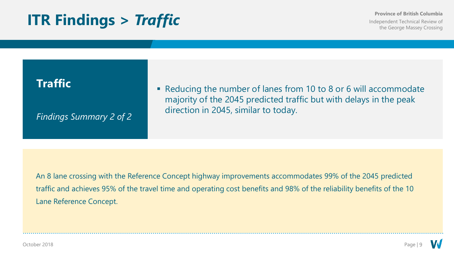## **ITR Findings >** *Traffic*

#### **Province of British Columbia** Independent Technical Review of the George Massey Crossing



An 8 lane crossing with the Reference Concept highway improvements accommodates 99% of the 2045 predicted traffic and achieves 95% of the travel time and operating cost benefits and 98% of the reliability benefits of the 10 Lane Reference Concept.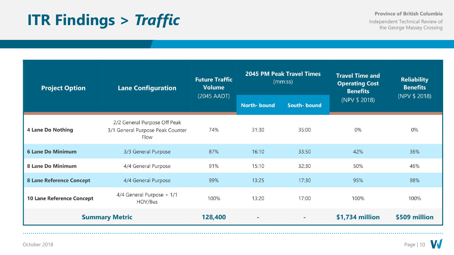## **ITR Findings >** *Traffic*

Independent Technical Review of the George Massey Crossing

| <b>Project Option</b>            | <b>Lane Configuration</b>                                                | <b>Future Traffic</b><br><b>Volume</b><br>(2045 AADT) | <b>2045 PM Peak Travel Times</b><br>(mm:ss) |             | <b>Travel Time and</b><br><b>Operating Cost</b><br><b>Benefits</b> | <b>Reliability</b><br><b>Benefits</b> |
|----------------------------------|--------------------------------------------------------------------------|-------------------------------------------------------|---------------------------------------------|-------------|--------------------------------------------------------------------|---------------------------------------|
|                                  |                                                                          |                                                       | <b>North-bound</b>                          | South-bound | (NPV \$ 2018)                                                      | (NPV \$ 2018)                         |
| <b>4 Lane Do Nothing</b>         | 2/2 General Purpose Off Peak<br>3/1 General Purpose Peak Counter<br>Flow | 74%                                                   | 31:30                                       | 35:00       | 0%                                                                 | 0%                                    |
| <b>6 Lane Do Minimum</b>         | 3/3 General Purpose                                                      | 87%                                                   | 16:10                                       | 33:50       | 42%                                                                | 36%                                   |
| <b>8 Lane Do Minimum</b>         | 4/4 General Purpose                                                      | 91%                                                   | 15:10                                       | 32:30       | 50%                                                                | 46%                                   |
| 8 Lane Reference Concept         | 4/4 General Purpose                                                      | 99%                                                   | 13:25                                       | 17:30       | 95%                                                                | 98%                                   |
| <b>10 Lane Reference Concept</b> | 4/4 General Purpose + 1/1<br>HOV/Bus                                     | 100%                                                  | 13:20                                       | 17:00       | 100%                                                               | 100%                                  |
| <b>Summary Metric</b>            |                                                                          | 128,400                                               |                                             | ٠           | \$1,734 million                                                    | \$509 million                         |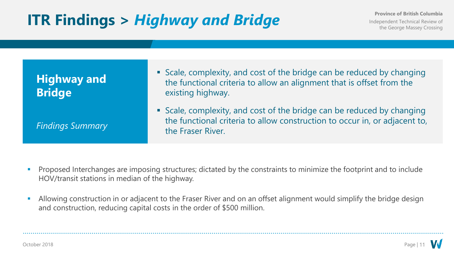# **ITR Findings >** *Highway and Bridge*

| <b>Highway and</b><br><b>Bridge</b> | • Scale, complexity, and cost of the bridge can be reduced by changing<br>the functional criteria to allow an alignment that is offset from the<br>existing highway.      |
|-------------------------------------|---------------------------------------------------------------------------------------------------------------------------------------------------------------------------|
| <b>Findings Summary</b>             | • Scale, complexity, and cost of the bridge can be reduced by changing<br>the functional criteria to allow construction to occur in, or adjacent to,<br>the Fraser River. |

- Proposed Interchanges are imposing structures; dictated by the constraints to minimize the footprint and to include HOV/transit stations in median of the highway.
- **EXT** Allowing construction in or adjacent to the Fraser River and on an offset alignment would simplify the bridge design and construction, reducing capital costs in the order of \$500 million.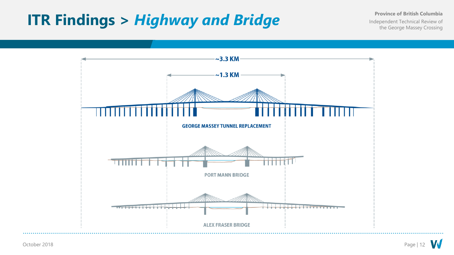### **ITR Findings >** *Highway and Bridge*

**Province of British Columbia**

Independent Technical Review of the George Massey Crossing

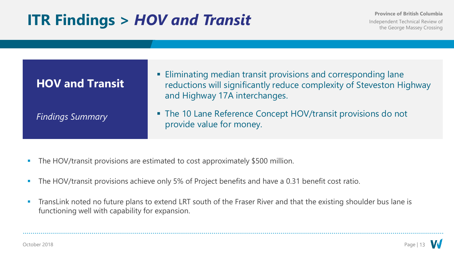# **ITR Findings >** *HOV and Transit*

| <b>HOV and Transit</b>  | • Eliminating median transit provisions and corresponding lane<br>reductions will significantly reduce complexity of Steveston Highway<br>and Highway 17A interchanges. |
|-------------------------|-------------------------------------------------------------------------------------------------------------------------------------------------------------------------|
| <b>Findings Summary</b> | • The 10 Lane Reference Concept HOV/transit provisions do not<br>provide value for money.                                                                               |

- **•** The HOV/transit provisions are estimated to cost approximately \$500 million.
- **The HOV/transit provisions achieve only 5% of Project benefits and have a 0.31 benefit cost ratio.**
- TransLink noted no future plans to extend LRT south of the Fraser River and that the existing shoulder bus lane is functioning well with capability for expansion.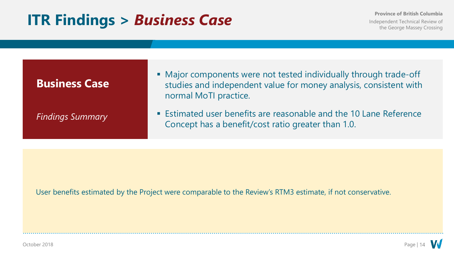#### **ITR Findings >** *Business Case*

| <b>Business Case</b>    | • Major components were not tested individually through trade-off<br>studies and independent value for money analysis, consistent with<br>normal MoTI practice. |
|-------------------------|-----------------------------------------------------------------------------------------------------------------------------------------------------------------|
| <b>Findings Summary</b> | <b>Estimated user benefits are reasonable and the 10 Lane Reference</b><br>Concept has a benefit/cost ratio greater than 1.0.                                   |

User benefits estimated by the Project were comparable to the Review's RTM3 estimate, if not conservative.

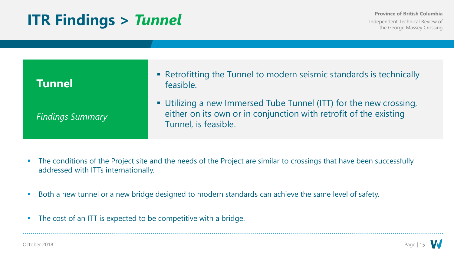## **ITR Findings >** *Tunnel*

| <b>Tunnel</b>           | • Retrofitting the Tunnel to modern seismic standards is technically<br>feasible.                                                                               |
|-------------------------|-----------------------------------------------------------------------------------------------------------------------------------------------------------------|
| <b>Findings Summary</b> | • Utilizing a new Immersed Tube Tunnel (ITT) for the new crossing,<br>either on its own or in conjunction with retrofit of the existing<br>Tunnel, is feasible. |

- **•** The conditions of the Project site and the needs of the Project are similar to crossings that have been successfully addressed with ITTs internationally.
- Both a new tunnel or a new bridge designed to modern standards can achieve the same level of safety.
- The cost of an ITT is expected to be competitive with a bridge.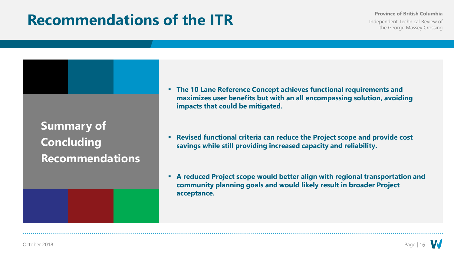#### **Recommendations of the ITR**

**Province of British Columbia** Independent Technical Review of the George Massey Crossing

**Summary of Concluding Recommendations**

- **The 10 Lane Reference Concept achieves functional requirements and maximizes user benefits but with an all encompassing solution, avoiding impacts that could be mitigated.**
- **Revised functional criteria can reduce the Project scope and provide cost savings while still providing increased capacity and reliability.**
- **A reduced Project scope would better align with regional transportation and community planning goals and would likely result in broader Project acceptance.**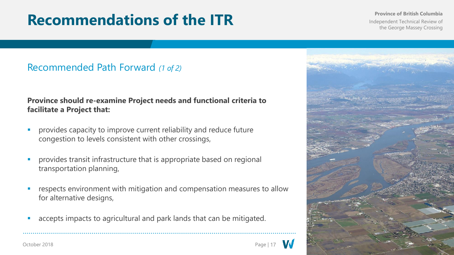#### **Recommendations of the ITR**

#### Recommended Path Forward *(1 of 2)*

#### **Province should re-examine Project needs and functional criteria to facilitate a Project that:**

- **•** provides capacity to improve current reliability and reduce future congestion to levels consistent with other crossings,
- **•** provides transit infrastructure that is appropriate based on regional transportation planning,
- respects environment with mitigation and compensation measures to allow for alternative designs,
- accepts impacts to agricultural and park lands that can be mitigated.



October 2018 Page | 17

#### **Province of British Columbia**

Independent Technical Review of the George Massey Crossing